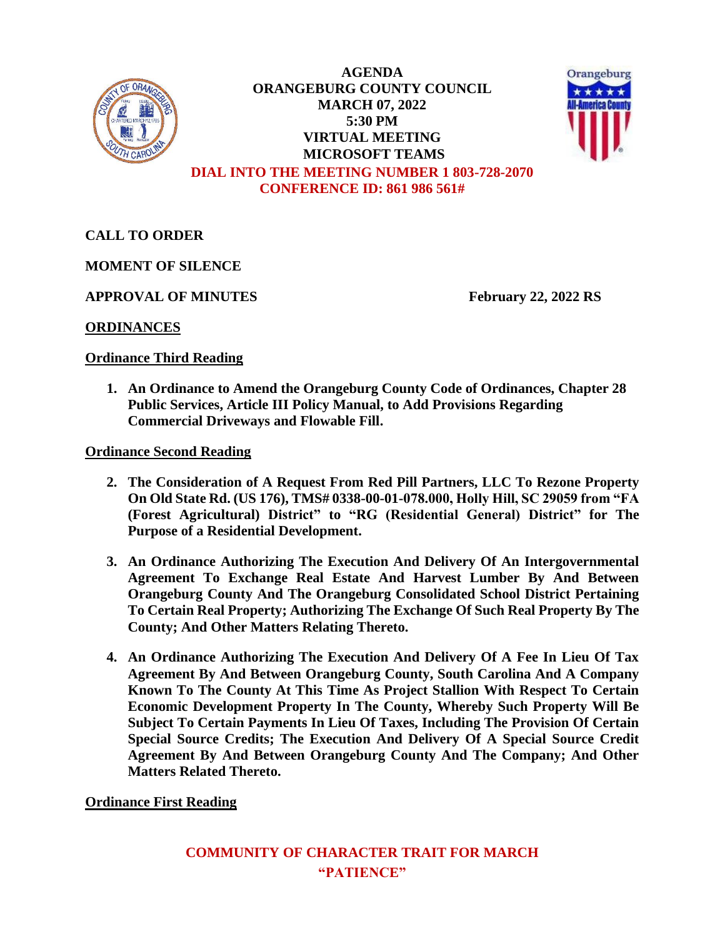

**AGENDA ORANGEBURG COUNTY COUNCIL MARCH 07, 2022 5:30 PM VIRTUAL MEETING MICROSOFT TEAMS DIAL INTO THE MEETING NUMBER 1 803-728-2070 CONFERENCE ID: 861 986 561#**



**CALL TO ORDER**

**MOMENT OF SILENCE**

**APPROVAL OF MINUTES February 22, 2022 RS**

**ORDINANCES**

## **Ordinance Third Reading**

**1. An Ordinance to Amend the Orangeburg County Code of Ordinances, Chapter 28 Public Services, Article III Policy Manual, to Add Provisions Regarding Commercial Driveways and Flowable Fill.**

**Ordinance Second Reading**

- **2. The Consideration of A Request From Red Pill Partners, LLC To Rezone Property On Old State Rd. (US 176), TMS# 0338-00-01-078.000, Holly Hill, SC 29059 from "FA (Forest Agricultural) District" to "RG (Residential General) District" for The Purpose of a Residential Development.**
- **3. An Ordinance Authorizing The Execution And Delivery Of An Intergovernmental Agreement To Exchange Real Estate And Harvest Lumber By And Between Orangeburg County And The Orangeburg Consolidated School District Pertaining To Certain Real Property; Authorizing The Exchange Of Such Real Property By The County; And Other Matters Relating Thereto.**
- **4. An Ordinance Authorizing The Execution And Delivery Of A Fee In Lieu Of Tax Agreement By And Between Orangeburg County, South Carolina And A Company Known To The County At This Time As Project Stallion With Respect To Certain Economic Development Property In The County, Whereby Such Property Will Be Subject To Certain Payments In Lieu Of Taxes, Including The Provision Of Certain Special Source Credits; The Execution And Delivery Of A Special Source Credit Agreement By And Between Orangeburg County And The Company; And Other Matters Related Thereto.**

**Ordinance First Reading**